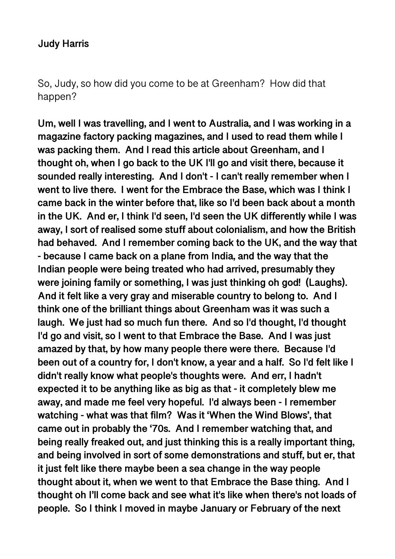### **Judy Harris**

So, Judy, so how did you come to be at Greenham? How did that happen?

**Um, well I was travelling, and I went to Australia, and I was working in a magazine factory packing magazines, and I used to read them while I was packing them. And I read this article about Greenham, and I thought oh, when I go back to the UK I'll go and visit there, because it sounded really interesting. And I don't - I can't really remember when I went to live there. I went for the Embrace the Base, which was I think I came back in the winter before that, like so I'd been back about a month in the UK. And er, I think I'd seen, I'd seen the UK differently while I was away, I sort of realised some stuff about colonialism, and how the British had behaved. And I remember coming back to the UK, and the way that - because I came back on a plane from India, and the way that the Indian people were being treated who had arrived, presumably they were joining family or something, I was just thinking oh god! (Laughs). And it felt like a very gray and miserable country to belong to. And I think one of the brilliant things about Greenham was it was such a laugh. We just had so much fun there. And so I'd thought, I'd thought I'd go and visit, so I went to that Embrace the Base. And I was just amazed by that, by how many people there were there. Because I'd been out of a country for, I don't know, a year and a half. So I'd felt like I didn't really know what people's thoughts were. And err, I hadn't expected it to be anything like as big as that - it completely blew me away, and made me feel very hopeful. I'd always been - I remember watching - what was that film? Was it 'When the Wind Blows', that came out in probably the '70s. And I remember watching that, and being really freaked out, and just thinking this is a really important thing, and being involved in sort of some demonstrations and stuff, but er, that it just felt like there maybe been a sea change in the way people thought about it, when we went to that Embrace the Base thing. And I thought oh I'll come back and see what it's like when there's not loads of people. So I think I moved in maybe January or February of the next**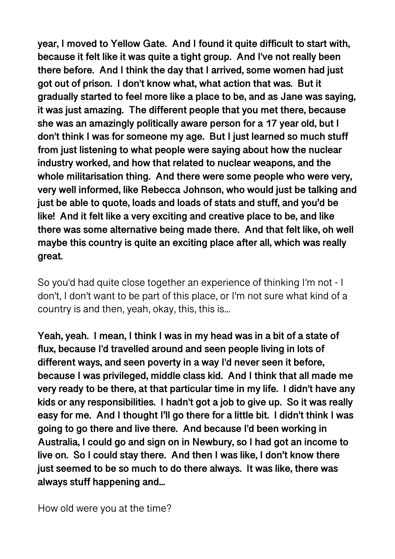**year, I moved to Yellow Gate. And I found it quite difficult to start with, because it felt like it was quite a tight group. And I've not really been there before. And I think the day that I arrived, some women had just got out of prison. I don't know what, what action that was. But it gradually started to feel more like a place to be, and as Jane was saying, it was just amazing. The different people that you met there, because she was an amazingly politically aware person for a 17 year old, but I don't think I was for someone my age. But I just learned so much stuff from just listening to what people were saying about how the nuclear industry worked, and how that related to nuclear weapons, and the whole militarisation thing. And there were some people who were very, very well informed, like Rebecca Johnson, who would just be talking and just be able to quote, loads and loads of stats and stuff, and you'd be like! And it felt like a very exciting and creative place to be, and like there was some alternative being made there. And that felt like, oh well maybe this country is quite an exciting place after all, which was really great.** 

So you'd had quite close together an experience of thinking I'm not - I don't, I don't want to be part of this place, or I'm not sure what kind of a country is and then, yeah, okay, this, this is...

**Yeah, yeah. I mean, I think I was in my head was in a bit of a state of flux, because I'd travelled around and seen people living in lots of different ways, and seen poverty in a way I'd never seen it before, because I was privileged, middle class kid. And I think that all made me very ready to be there, at that particular time in my life. I didn't have any kids or any responsibilities. I hadn't got a job to give up. So it was really easy for me. And I thought I'll go there for a little bit. I didn't think I was going to go there and live there. And because I'd been working in Australia, I could go and sign on in Newbury, so I had got an income to live on. So I could stay there. And then I was like, I don't know there just seemed to be so much to do there always. It was like, there was always stuff happening and...** 

How old were you at the time?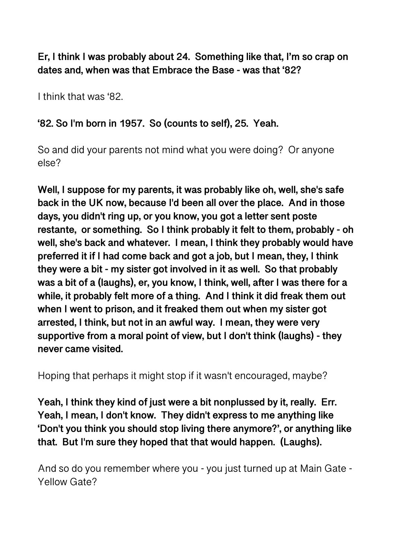## **Er, I think I was probably about 24. Something like that, I'm so crap on dates and, when was that Embrace the Base - was that '82?**

I think that was '82.

## **'82. So I'm born in 1957. So (counts to self), 25. Yeah.**

So and did your parents not mind what you were doing? Or anyone else?

**Well, I suppose for my parents, it was probably like oh, well, she's safe back in the UK now, because I'd been all over the place. And in those days, you didn't ring up, or you know, you got a letter sent poste restante, or something. So I think probably it felt to them, probably - oh well, she's back and whatever. I mean, I think they probably would have preferred it if I had come back and got a job, but I mean, they, I think they were a bit - my sister got involved in it as well. So that probably was a bit of a (laughs), er, you know, I think, well, after I was there for a while, it probably felt more of a thing. And I think it did freak them out when I went to prison, and it freaked them out when my sister got arrested, I think, but not in an awful way. I mean, they were very supportive from a moral point of view, but I don't think (laughs) - they never came visited.** 

Hoping that perhaps it might stop if it wasn't encouraged, maybe?

**Yeah, I think they kind of just were a bit nonplussed by it, really. Err. Yeah, I mean, I don't know. They didn't express to me anything like 'Don't you think you should stop living there anymore?', or anything like that. But I'm sure they hoped that that would happen. (Laughs).** 

And so do you remember where you - you just turned up at Main Gate - Yellow Gate?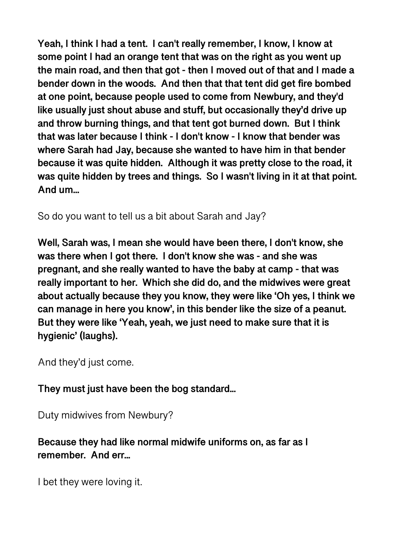**Yeah, I think I had a tent. I can't really remember, I know, I know at some point I had an orange tent that was on the right as you went up the main road, and then that got - then I moved out of that and I made a bender down in the woods. And then that that tent did get fire bombed at one point, because people used to come from Newbury, and they'd like usually just shout abuse and stuff, but occasionally they'd drive up and throw burning things, and that tent got burned down. But I think that was later because I think - I don't know - I know that bender was where Sarah had Jay, because she wanted to have him in that bender because it was quite hidden. Although it was pretty close to the road, it was quite hidden by trees and things. So I wasn't living in it at that point. And um...** 

So do you want to tell us a bit about Sarah and Jay?

**Well, Sarah was, I mean she would have been there, I don't know, she was there when I got there. I don't know she was - and she was pregnant, and she really wanted to have the baby at camp - that was really important to her. Which she did do, and the midwives were great about actually because they you know, they were like 'Oh yes, I think we can manage in here you know', in this bender like the size of a peanut. But they were like 'Yeah, yeah, we just need to make sure that it is hygienic' (laughs).** 

And they'd just come.

**They must just have been the bog standard...** 

Duty midwives from Newbury?

**Because they had like normal midwife uniforms on, as far as I remember. And err...** 

I bet they were loving it.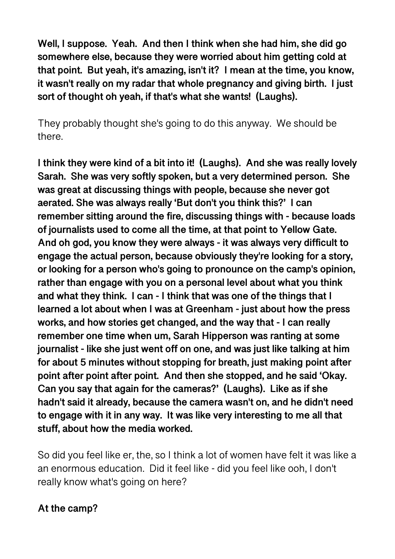**Well, I suppose. Yeah. And then I think when she had him, she did go somewhere else, because they were worried about him getting cold at that point. But yeah, it's amazing, isn't it? I mean at the time, you know, it wasn't really on my radar that whole pregnancy and giving birth. I just sort of thought oh yeah, if that's what she wants! (Laughs).** 

They probably thought she's going to do this anyway. We should be there.

**I think they were kind of a bit into it! (Laughs). And she was really lovely Sarah. She was very softly spoken, but a very determined person. She was great at discussing things with people, because she never got aerated. She was always really 'But don't you think this?' I can remember sitting around the fire, discussing things with - because loads of journalists used to come all the time, at that point to Yellow Gate. And oh god, you know they were always - it was always very difficult to engage the actual person, because obviously they're looking for a story, or looking for a person who's going to pronounce on the camp's opinion, rather than engage with you on a personal level about what you think and what they think. I can - I think that was one of the things that I learned a lot about when I was at Greenham - just about how the press works, and how stories get changed, and the way that - I can really remember one time when um, Sarah Hipperson was ranting at some journalist - like she just went off on one, and was just like talking at him for about 5 minutes without stopping for breath, just making point after point after point after point. And then she stopped, and he said 'Okay. Can you say that again for the cameras?' (Laughs). Like as if she hadn't said it already, because the camera wasn't on, and he didn't need to engage with it in any way. It was like very interesting to me all that stuff, about how the media worked.** 

So did you feel like er, the, so I think a lot of women have felt it was like a an enormous education. Did it feel like - did you feel like ooh, I don't really know what's going on here?

## **At the camp?**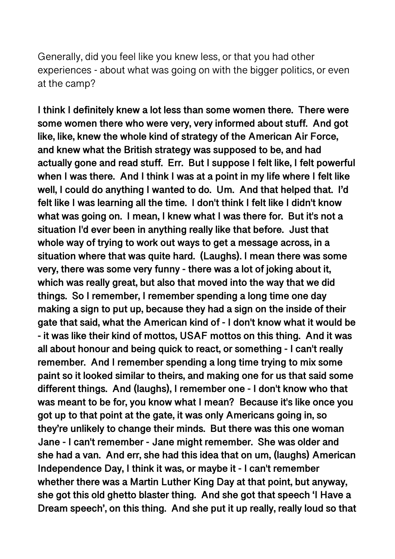Generally, did you feel like you knew less, or that you had other experiences - about what was going on with the bigger politics, or even at the camp?

**I think I definitely knew a lot less than some women there. There were some women there who were very, very informed about stuff. And got like, like, knew the whole kind of strategy of the American Air Force, and knew what the British strategy was supposed to be, and had actually gone and read stuff. Err. But I suppose I felt like, I felt powerful when I was there. And I think I was at a point in my life where I felt like well, I could do anything I wanted to do. Um. And that helped that. I'd felt like I was learning all the time. I don't think I felt like I didn't know what was going on. I mean, I knew what I was there for. But it's not a situation I'd ever been in anything really like that before. Just that whole way of trying to work out ways to get a message across, in a situation where that was quite hard. (Laughs). I mean there was some very, there was some very funny - there was a lot of joking about it, which was really great, but also that moved into the way that we did things. So I remember, I remember spending a long time one day making a sign to put up, because they had a sign on the inside of their gate that said, what the American kind of - I don't know what it would be - it was like their kind of mottos, USAF mottos on this thing. And it was all about honour and being quick to react, or something - I can't really remember. And I remember spending a long time trying to mix some paint so it looked similar to theirs, and making one for us that said some different things. And (laughs), I remember one - I don't know who that was meant to be for, you know what I mean? Because it's like once you got up to that point at the gate, it was only Americans going in, so they're unlikely to change their minds. But there was this one woman Jane - I can't remember - Jane might remember. She was older and she had a van. And err, she had this idea that on um, (laughs) American Independence Day, I think it was, or maybe it - I can't remember whether there was a Martin Luther King Day at that point, but anyway, she got this old ghetto blaster thing. And she got that speech 'I Have a Dream speech', on this thing. And she put it up really, really loud so that**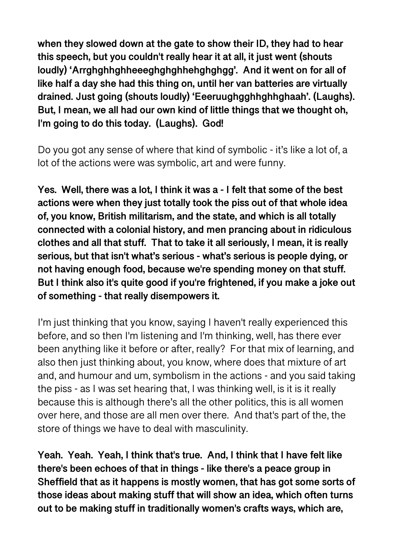**when they slowed down at the gate to show their ID, they had to hear this speech, but you couldn't really hear it at all, it just went (shouts loudly) 'Arrghghhghheeeghghghhehghghgg'. And it went on for all of like half a day she had this thing on, until her van batteries are virtually drained. Just going (shouts loudly) 'Eeeruughgghhghhghaah'. (Laughs). But, I mean, we all had our own kind of little things that we thought oh, I'm going to do this today. (Laughs). God!** 

Do you got any sense of where that kind of symbolic - it's like a lot of, a lot of the actions were was symbolic, art and were funny.

**Yes. Well, there was a lot, I think it was a - I felt that some of the best actions were when they just totally took the piss out of that whole idea of, you know, British militarism, and the state, and which is all totally connected with a colonial history, and men prancing about in ridiculous clothes and all that stuff. That to take it all seriously, I mean, it is really serious, but that isn't what's serious - what's serious is people dying, or not having enough food, because we're spending money on that stuff. But I think also it's quite good if you're frightened, if you make a joke out of something - that really disempowers it.** 

I'm just thinking that you know, saying I haven't really experienced this before, and so then I'm listening and I'm thinking, well, has there ever been anything like it before or after, really? For that mix of learning, and also then just thinking about, you know, where does that mixture of art and, and humour and um, symbolism in the actions - and you said taking the piss - as I was set hearing that, I was thinking well, is it is it really because this is although there's all the other politics, this is all women over here, and those are all men over there. And that's part of the, the store of things we have to deal with masculinity.

**Yeah. Yeah. Yeah, I think that's true. And, I think that I have felt like there's been echoes of that in things - like there's a peace group in Sheffield that as it happens is mostly women, that has got some sorts of those ideas about making stuff that will show an idea, which often turns out to be making stuff in traditionally women's crafts ways, which are,**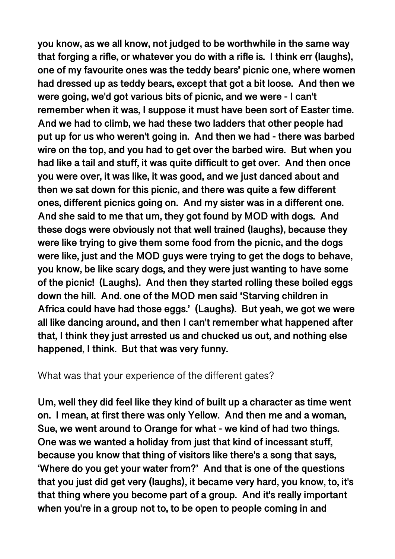**you know, as we all know, not judged to be worthwhile in the same way that forging a rifle, or whatever you do with a rifle is. I think err (laughs), one of my favourite ones was the teddy bears' picnic one, where women had dressed up as teddy bears, except that got a bit loose. And then we were going, we'd got various bits of picnic, and we were - I can't remember when it was, I suppose it must have been sort of Easter time. And we had to climb, we had these two ladders that other people had put up for us who weren't going in. And then we had - there was barbed wire on the top, and you had to get over the barbed wire. But when you had like a tail and stuff, it was quite difficult to get over. And then once you were over, it was like, it was good, and we just danced about and then we sat down for this picnic, and there was quite a few different ones, different picnics going on. And my sister was in a different one. And she said to me that um, they got found by MOD with dogs. And these dogs were obviously not that well trained (laughs), because they were like trying to give them some food from the picnic, and the dogs were like, just and the MOD guys were trying to get the dogs to behave, you know, be like scary dogs, and they were just wanting to have some of the picnic! (Laughs). And then they started rolling these boiled eggs down the hill. And. one of the MOD men said 'Starving children in Africa could have had those eggs.' (Laughs). But yeah, we got we were all like dancing around, and then I can't remember what happened after that, I think they just arrested us and chucked us out, and nothing else happened, I think. But that was very funny.** 

What was that your experience of the different gates?

**Um, well they did feel like they kind of built up a character as time went on. I mean, at first there was only Yellow. And then me and a woman, Sue, we went around to Orange for what - we kind of had two things. One was we wanted a holiday from just that kind of incessant stuff, because you know that thing of visitors like there's a song that says, 'Where do you get your water from?' And that is one of the questions that you just did get very (laughs), it became very hard, you know, to, it's that thing where you become part of a group. And it's really important when you're in a group not to, to be open to people coming in and**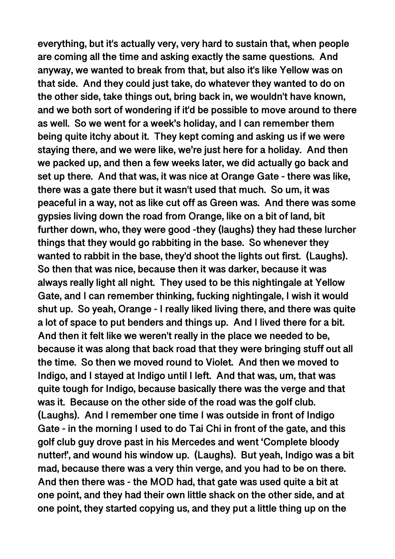**everything, but it's actually very, very hard to sustain that, when people are coming all the time and asking exactly the same questions. And anyway, we wanted to break from that, but also it's like Yellow was on that side. And they could just take, do whatever they wanted to do on the other side, take things out, bring back in, we wouldn't have known, and we both sort of wondering if it'd be possible to move around to there as well. So we went for a week's holiday, and I can remember them being quite itchy about it. They kept coming and asking us if we were staying there, and we were like, we're just here for a holiday. And then we packed up, and then a few weeks later, we did actually go back and set up there. And that was, it was nice at Orange Gate - there was like, there was a gate there but it wasn't used that much. So um, it was peaceful in a way, not as like cut off as Green was. And there was some gypsies living down the road from Orange, like on a bit of land, bit further down, who, they were good -they (laughs) they had these lurcher things that they would go rabbiting in the base. So whenever they wanted to rabbit in the base, they'd shoot the lights out first. (Laughs). So then that was nice, because then it was darker, because it was always really light all night. They used to be this nightingale at Yellow Gate, and I can remember thinking, fucking nightingale, I wish it would shut up. So yeah, Orange - I really liked living there, and there was quite a lot of space to put benders and things up. And I lived there for a bit. And then it felt like we weren't really in the place we needed to be, because it was along that back road that they were bringing stuff out all the time. So then we moved round to Violet. And then we moved to Indigo, and I stayed at Indigo until I left. And that was, um, that was quite tough for Indigo, because basically there was the verge and that was it. Because on the other side of the road was the golf club. (Laughs). And I remember one time I was outside in front of Indigo Gate - in the morning I used to do Tai Chi in front of the gate, and this golf club guy drove past in his Mercedes and went 'Complete bloody nutter!', and wound his window up. (Laughs). But yeah, Indigo was a bit mad, because there was a very thin verge, and you had to be on there. And then there was - the MOD had, that gate was used quite a bit at one point, and they had their own little shack on the other side, and at one point, they started copying us, and they put a little thing up on the**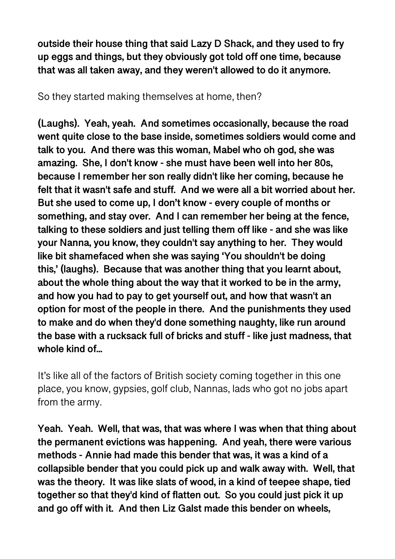**outside their house thing that said Lazy D Shack, and they used to fry up eggs and things, but they obviously got told off one time, because that was all taken away, and they weren't allowed to do it anymore.** 

So they started making themselves at home, then?

**(Laughs). Yeah, yeah. And sometimes occasionally, because the road went quite close to the base inside, sometimes soldiers would come and talk to you. And there was this woman, Mabel who oh god, she was amazing. She, I don't know - she must have been well into her 80s, because I remember her son really didn't like her coming, because he felt that it wasn't safe and stuff. And we were all a bit worried about her. But she used to come up, I don't know - every couple of months or something, and stay over. And I can remember her being at the fence, talking to these soldiers and just telling them off like - and she was like your Nanna, you know, they couldn't say anything to her. They would like bit shamefaced when she was saying 'You shouldn't be doing this,' (laughs). Because that was another thing that you learnt about, about the whole thing about the way that it worked to be in the army, and how you had to pay to get yourself out, and how that wasn't an option for most of the people in there. And the punishments they used to make and do when they'd done something naughty, like run around the base with a rucksack full of bricks and stuff - like just madness, that whole kind of...** 

It's like all of the factors of British society coming together in this one place, you know, gypsies, golf club, Nannas, lads who got no jobs apart from the army.

**Yeah. Yeah. Well, that was, that was where I was when that thing about the permanent evictions was happening. And yeah, there were various methods - Annie had made this bender that was, it was a kind of a collapsible bender that you could pick up and walk away with. Well, that was the theory. It was like slats of wood, in a kind of teepee shape, tied together so that they'd kind of flatten out. So you could just pick it up and go off with it. And then Liz Galst made this bender on wheels,**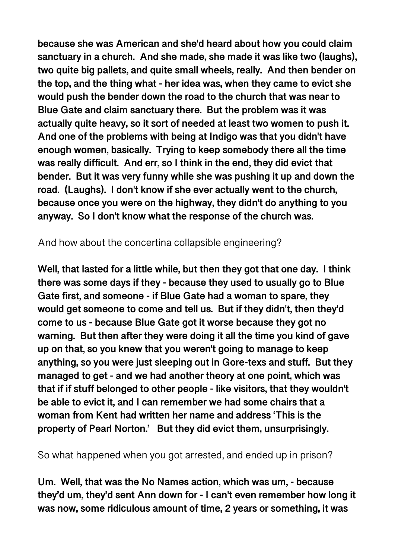**because she was American and she'd heard about how you could claim sanctuary in a church. And she made, she made it was like two (laughs), two quite big pallets, and quite small wheels, really. And then bender on the top, and the thing what - her idea was, when they came to evict she would push the bender down the road to the church that was near to Blue Gate and claim sanctuary there. But the problem was it was actually quite heavy, so it sort of needed at least two women to push it. And one of the problems with being at Indigo was that you didn't have enough women, basically. Trying to keep somebody there all the time was really difficult. And err, so I think in the end, they did evict that bender. But it was very funny while she was pushing it up and down the road. (Laughs). I don't know if she ever actually went to the church, because once you were on the highway, they didn't do anything to you anyway. So I don't know what the response of the church was.** 

And how about the concertina collapsible engineering?

**Well, that lasted for a little while, but then they got that one day. I think there was some days if they - because they used to usually go to Blue Gate first, and someone - if Blue Gate had a woman to spare, they would get someone to come and tell us. But if they didn't, then they'd come to us - because Blue Gate got it worse because they got no warning. But then after they were doing it all the time you kind of gave up on that, so you knew that you weren't going to manage to keep anything, so you were just sleeping out in Gore-texs and stuff. But they managed to get - and we had another theory at one point, which was that if if stuff belonged to other people - like visitors, that they wouldn't be able to evict it, and I can remember we had some chairs that a woman from Kent had written her name and address 'This is the property of Pearl Norton.' But they did evict them, unsurprisingly.** 

So what happened when you got arrested, and ended up in prison?

**Um. Well, that was the No Names action, which was um, - because they'd um, they'd sent Ann down for - I can't even remember how long it was now, some ridiculous amount of time, 2 years or something, it was**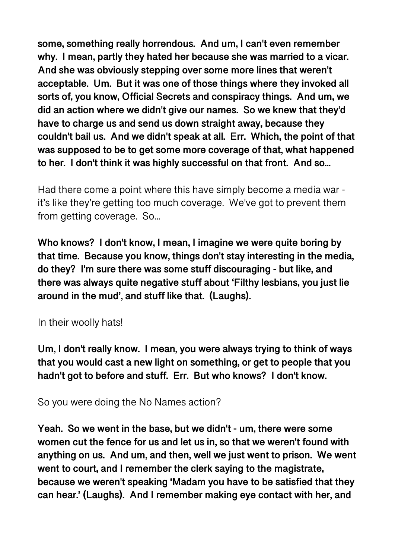**some, something really horrendous. And um, I can't even remember why. I mean, partly they hated her because she was married to a vicar. And she was obviously stepping over some more lines that weren't acceptable. Um. But it was one of those things where they invoked all sorts of, you know, Official Secrets and conspiracy things. And um, we did an action where we didn't give our names. So we knew that they'd have to charge us and send us down straight away, because they couldn't bail us. And we didn't speak at all. Err. Which, the point of that was supposed to be to get some more coverage of that, what happened to her. I don't think it was highly successful on that front. And so...** 

Had there come a point where this have simply become a media war it's like they're getting too much coverage. We've got to prevent them from getting coverage. So...

**Who knows? I don't know, I mean, I imagine we were quite boring by that time. Because you know, things don't stay interesting in the media, do they? I'm sure there was some stuff discouraging - but like, and there was always quite negative stuff about 'Filthy lesbians, you just lie around in the mud', and stuff like that. (Laughs).** 

In their woolly hats!

**Um, I don't really know. I mean, you were always trying to think of ways that you would cast a new light on something, or get to people that you hadn't got to before and stuff. Err. But who knows? I don't know.** 

So you were doing the No Names action?

**Yeah. So we went in the base, but we didn't - um, there were some women cut the fence for us and let us in, so that we weren't found with anything on us. And um, and then, well we just went to prison. We went went to court, and I remember the clerk saying to the magistrate, because we weren't speaking 'Madam you have to be satisfied that they can hear.' (Laughs). And I remember making eye contact with her, and**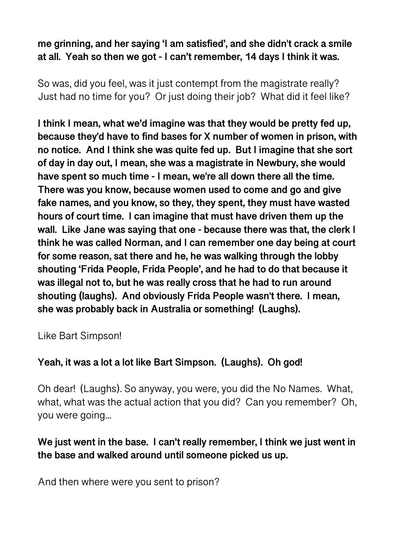**me grinning, and her saying 'I am satisfied', and she didn't crack a smile at all. Yeah so then we got - I can't remember, 14 days I think it was.** 

So was, did you feel, was it just contempt from the magistrate really? Just had no time for you? Or just doing their job? What did it feel like?

**I think I mean, what we'd imagine was that they would be pretty fed up, because they'd have to find bases for X number of women in prison, with no notice. And I think she was quite fed up. But I imagine that she sort of day in day out, I mean, she was a magistrate in Newbury, she would have spent so much time - I mean, we're all down there all the time. There was you know, because women used to come and go and give fake names, and you know, so they, they spent, they must have wasted hours of court time. I can imagine that must have driven them up the wall. Like Jane was saying that one - because there was that, the clerk I think he was called Norman, and I can remember one day being at court for some reason, sat there and he, he was walking through the lobby shouting 'Frida People, Frida People', and he had to do that because it was illegal not to, but he was really cross that he had to run around shouting (laughs). And obviously Frida People wasn't there. I mean, she was probably back in Australia or something! (Laughs).** 

Like Bart Simpson!

# **Yeah, it was a lot a lot like Bart Simpson. (Laughs). Oh god!**

Oh dear! (Laughs). So anyway, you were, you did the No Names. What, what, what was the actual action that you did? Can you remember? Oh, you were going...

# **We just went in the base. I can't really remember, I think we just went in the base and walked around until someone picked us up.**

And then where were you sent to prison?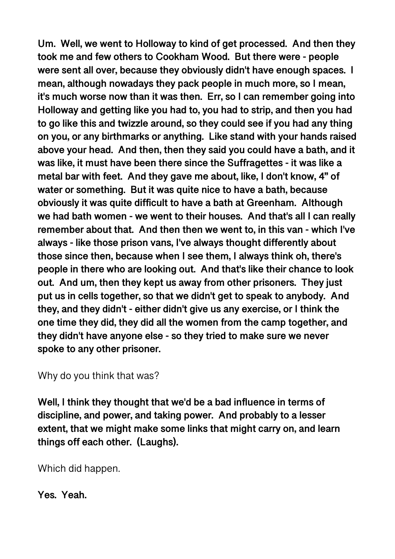**Um. Well, we went to Holloway to kind of get processed. And then they took me and few others to Cookham Wood. But there were - people were sent all over, because they obviously didn't have enough spaces. I mean, although nowadays they pack people in much more, so I mean, it's much worse now than it was then. Err, so I can remember going into Holloway and getting like you had to, you had to strip, and then you had to go like this and twizzle around, so they could see if you had any thing on you, or any birthmarks or anything. Like stand with your hands raised above your head. And then, then they said you could have a bath, and it was like, it must have been there since the Suffragettes - it was like a metal bar with feet. And they gave me about, like, I don't know, 4" of water or something. But it was quite nice to have a bath, because obviously it was quite difficult to have a bath at Greenham. Although we had bath women - we went to their houses. And that's all I can really remember about that. And then then we went to, in this van - which I've always - like those prison vans, I've always thought differently about those since then, because when I see them, I always think oh, there's people in there who are looking out. And that's like their chance to look out. And um, then they kept us away from other prisoners. They just put us in cells together, so that we didn't get to speak to anybody. And they, and they didn't - either didn't give us any exercise, or I think the one time they did, they did all the women from the camp together, and they didn't have anyone else - so they tried to make sure we never spoke to any other prisoner.** 

Why do you think that was?

**Well, I think they thought that we'd be a bad influence in terms of discipline, and power, and taking power. And probably to a lesser extent, that we might make some links that might carry on, and learn things off each other. (Laughs).** 

Which did happen.

**Yes. Yeah.**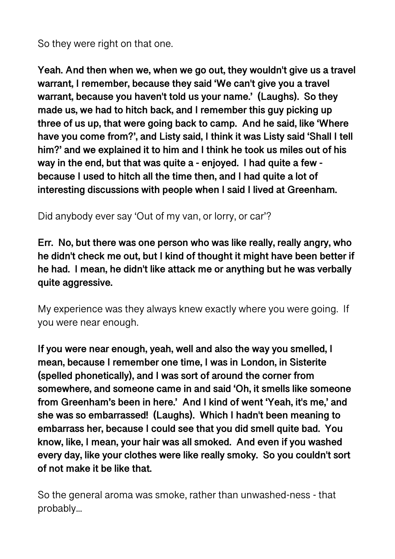So they were right on that one.

**Yeah. And then when we, when we go out, they wouldn't give us a travel warrant, I remember, because they said 'We can't give you a travel warrant, because you haven't told us your name.' (Laughs). So they made us, we had to hitch back, and I remember this guy picking up three of us up, that were going back to camp. And he said, like 'Where have you come from?', and Listy said, I think it was Listy said 'Shall I tell him?' and we explained it to him and I think he took us miles out of his way in the end, but that was quite a - enjoyed. I had quite a few because I used to hitch all the time then, and I had quite a lot of interesting discussions with people when I said I lived at Greenham.** 

Did anybody ever say 'Out of my van, or lorry, or car'?

**Err. No, but there was one person who was like really, really angry, who he didn't check me out, but I kind of thought it might have been better if he had. I mean, he didn't like attack me or anything but he was verbally quite aggressive.** 

My experience was they always knew exactly where you were going. If you were near enough.

**If you were near enough, yeah, well and also the way you smelled, I mean, because I remember one time, I was in London, in Sisterite (spelled phonetically), and I was sort of around the corner from somewhere, and someone came in and said 'Oh, it smells like someone from Greenham's been in here.' And I kind of went 'Yeah, it's me,' and she was so embarrassed! (Laughs). Which I hadn't been meaning to embarrass her, because I could see that you did smell quite bad. You know, like, I mean, your hair was all smoked. And even if you washed every day, like your clothes were like really smoky. So you couldn't sort of not make it be like that.** 

So the general aroma was smoke, rather than unwashed-ness - that probably...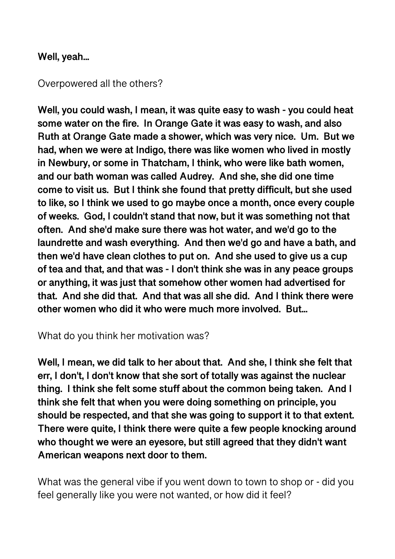#### **Well, yeah...**

#### Overpowered all the others?

**Well, you could wash, I mean, it was quite easy to wash - you could heat some water on the fire. In Orange Gate it was easy to wash, and also Ruth at Orange Gate made a shower, which was very nice. Um. But we had, when we were at Indigo, there was like women who lived in mostly in Newbury, or some in Thatcham, I think, who were like bath women, and our bath woman was called Audrey. And she, she did one time come to visit us. But I think she found that pretty difficult, but she used to like, so I think we used to go maybe once a month, once every couple of weeks. God, I couldn't stand that now, but it was something not that often. And she'd make sure there was hot water, and we'd go to the laundrette and wash everything. And then we'd go and have a bath, and then we'd have clean clothes to put on. And she used to give us a cup of tea and that, and that was - I don't think she was in any peace groups or anything, it was just that somehow other women had advertised for that. And she did that. And that was all she did. And I think there were other women who did it who were much more involved. But...** 

What do you think her motivation was?

**Well, I mean, we did talk to her about that. And she, I think she felt that err, I don't, I don't know that she sort of totally was against the nuclear thing. I think she felt some stuff about the common being taken. And I think she felt that when you were doing something on principle, you should be respected, and that she was going to support it to that extent. There were quite, I think there were quite a few people knocking around who thought we were an eyesore, but still agreed that they didn't want American weapons next door to them.** 

What was the general vibe if you went down to town to shop or - did you feel generally like you were not wanted, or how did it feel?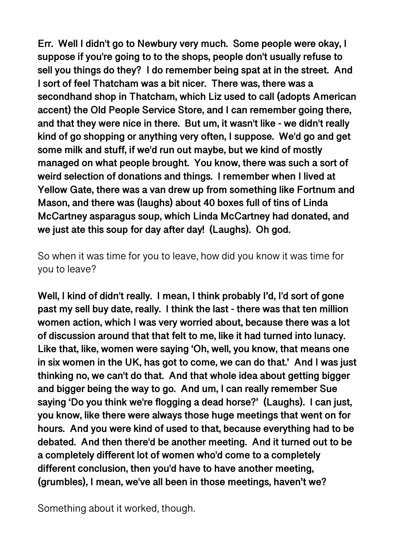**Err. Well I didn't go to Newbury very much. Some people were okay, I suppose if you're going to to the shops, people don't usually refuse to sell you things do they? I do remember being spat at in the street. And I sort of feel Thatcham was a bit nicer. There was, there was a secondhand shop in Thatcham, which Liz used to call (adopts American accent) the Old People Service Store, and I can remember going there, and that they were nice in there. But um, it wasn't like - we didn't really kind of go shopping or anything very often, I suppose. We'd go and get some milk and stuff, if we'd run out maybe, but we kind of mostly managed on what people brought. You know, there was such a sort of weird selection of donations and things. I remember when I lived at Yellow Gate, there was a van drew up from something like Fortnum and Mason, and there was (laughs) about 40 boxes full of tins of Linda McCartney asparagus soup, which Linda McCartney had donated, and we just ate this soup for day after day! (Laughs). Oh god.** 

So when it was time for you to leave, how did you know it was time for you to leave?

**Well, I kind of didn't really. I mean, I think probably I'd, I'd sort of gone past my sell buy date, really. I think the last - there was that ten million women action, which I was very worried about, because there was a lot of discussion around that that felt to me, like it had turned into lunacy. Like that, like, women were saying 'Oh, well, you know, that means one in six women in the UK, has got to come, we can do that.' And I was just thinking no, we can't do that. And that whole idea about getting bigger and bigger being the way to go. And um, I can really remember Sue saying 'Do you think we're flogging a dead horse?' (Laughs). I can just, you know, like there were always those huge meetings that went on for hours. And you were kind of used to that, because everything had to be debated. And then there'd be another meeting. And it turned out to be a completely different lot of women who'd come to a completely different conclusion, then you'd have to have another meeting, (grumbles), I mean, we've all been in those meetings, haven't we?** 

Something about it worked, though.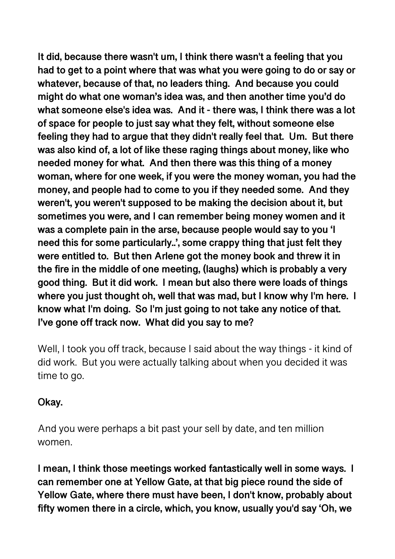**It did, because there wasn't um, I think there wasn't a feeling that you had to get to a point where that was what you were going to do or say or whatever, because of that, no leaders thing. And because you could might do what one woman's idea was, and then another time you'd do what someone else's idea was. And it - there was, I think there was a lot of space for people to just say what they felt, without someone else feeling they had to argue that they didn't really feel that. Um. But there was also kind of, a lot of like these raging things about money, like who needed money for what. And then there was this thing of a money woman, where for one week, if you were the money woman, you had the money, and people had to come to you if they needed some. And they weren't, you weren't supposed to be making the decision about it, but sometimes you were, and I can remember being money women and it was a complete pain in the arse, because people would say to you 'I need this for some particularly..', some crappy thing that just felt they were entitled to. But then Arlene got the money book and threw it in the fire in the middle of one meeting, (laughs) which is probably a very good thing. But it did work. I mean but also there were loads of things where you just thought oh, well that was mad, but I know why I'm here. I know what I'm doing. So I'm just going to not take any notice of that. I've gone off track now. What did you say to me?** 

Well, I took you off track, because I said about the way things - it kind of did work. But you were actually talking about when you decided it was time to go.

### **Okay.**

And you were perhaps a bit past your sell by date, and ten million women.

**I mean, I think those meetings worked fantastically well in some ways. I can remember one at Yellow Gate, at that big piece round the side of Yellow Gate, where there must have been, I don't know, probably about fifty women there in a circle, which, you know, usually you'd say 'Oh, we**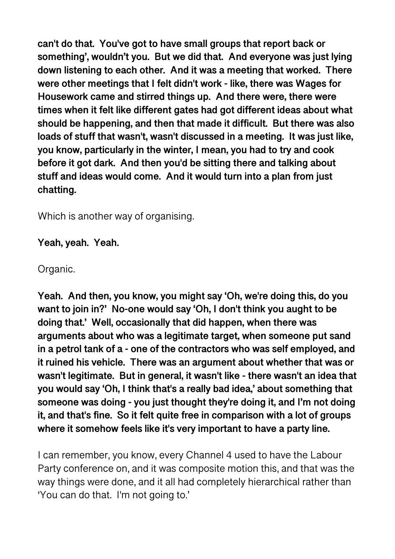**can't do that. You've got to have small groups that report back or something', wouldn't you. But we did that. And everyone was just lying down listening to each other. And it was a meeting that worked. There were other meetings that I felt didn't work - like, there was Wages for Housework came and stirred things up. And there were, there were times when it felt like different gates had got different ideas about what should be happening, and then that made it difficult. But there was also loads of stuff that wasn't, wasn't discussed in a meeting. It was just like, you know, particularly in the winter, I mean, you had to try and cook before it got dark. And then you'd be sitting there and talking about stuff and ideas would come. And it would turn into a plan from just chatting.** 

Which is another way of organising.

**Yeah, yeah. Yeah.** 

Organic.

**Yeah. And then, you know, you might say 'Oh, we're doing this, do you want to join in?' No-one would say 'Oh, I don't think you aught to be doing that.' Well, occasionally that did happen, when there was arguments about who was a legitimate target, when someone put sand in a petrol tank of a - one of the contractors who was self employed, and it ruined his vehicle. There was an argument about whether that was or wasn't legitimate. But in general, it wasn't like - there wasn't an idea that you would say 'Oh, I think that's a really bad idea,' about something that someone was doing - you just thought they're doing it, and I'm not doing it, and that's fine. So it felt quite free in comparison with a lot of groups where it somehow feels like it's very important to have a party line.** 

I can remember, you know, every Channel 4 used to have the Labour Party conference on, and it was composite motion this, and that was the way things were done, and it all had completely hierarchical rather than 'You can do that. I'm not going to.'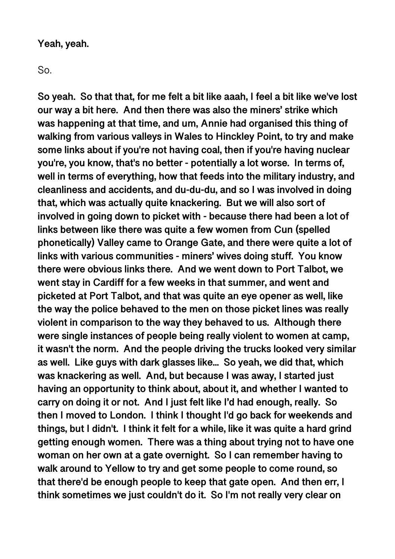#### **Yeah, yeah.**

#### So.

**So yeah. So that that, for me felt a bit like aaah, I feel a bit like we've lost our way a bit here. And then there was also the miners' strike which was happening at that time, and um, Annie had organised this thing of walking from various valleys in Wales to Hinckley Point, to try and make some links about if you're not having coal, then if you're having nuclear you're, you know, that's no better - potentially a lot worse. In terms of, well in terms of everything, how that feeds into the military industry, and cleanliness and accidents, and du-du-du, and so I was involved in doing that, which was actually quite knackering. But we will also sort of involved in going down to picket with - because there had been a lot of links between like there was quite a few women from Cun (spelled phonetically) Valley came to Orange Gate, and there were quite a lot of links with various communities - miners' wives doing stuff. You know there were obvious links there. And we went down to Port Talbot, we went stay in Cardiff for a few weeks in that summer, and went and picketed at Port Talbot, and that was quite an eye opener as well, like the way the police behaved to the men on those picket lines was really violent in comparison to the way they behaved to us. Although there were single instances of people being really violent to women at camp, it wasn't the norm. And the people driving the trucks looked very similar as well. Like guys with dark glasses like... So yeah, we did that, which was knackering as well. And, but because I was away, I started just having an opportunity to think about, about it, and whether I wanted to carry on doing it or not. And I just felt like I'd had enough, really. So then I moved to London. I think I thought I'd go back for weekends and things, but I didn't. I think it felt for a while, like it was quite a hard grind getting enough women. There was a thing about trying not to have one woman on her own at a gate overnight. So I can remember having to walk around to Yellow to try and get some people to come round, so that there'd be enough people to keep that gate open. And then err, I think sometimes we just couldn't do it. So I'm not really very clear on**